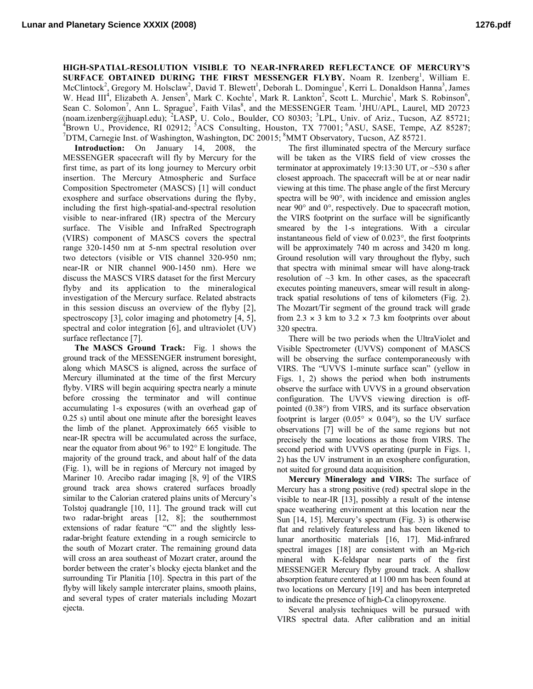**HIGH-SPATIAL-RESOLUTION VISIBLE TO NEAR-INFRARED REFLECTANCE OF MERCURY'S SURFACE OBTAINED DURING THE FIRST MESSENGER FLYBY.** Noam R. Izenberg<sup>1</sup>, William E. McClintock<sup>2</sup>, Gregory M. Holsclaw<sup>2</sup>, David T. Blewett<sup>1</sup>, Deborah L. Domingue<sup>1</sup>, Kerri L. Donaldson Hanna<sup>3</sup>, James W. Head III<sup>4</sup>, Elizabeth A. Jensen<sup>5</sup>, Mark C. Kochte<sup>1</sup>, Mark R. Lankton<sup>2</sup>, Scott L. Murchie<sup>1</sup>, Mark S. Robinson<sup>6</sup>, Sean C. Solomon<sup>7</sup>, Ann L. Sprague<sup>3</sup>, Faith Vilas<sup>8</sup>, and the MESSENGER Team. <sup>1</sup>JHU/APL, Laurel, MD 20723 (noam.izenberg@jhuapl.edu); <sup>2</sup>LASP, U. Colo., Boulder, CO 80303; <sup>3</sup>LPL, Univ. of Ariz., Tucson, AZ 85721;<br><sup>4</sup>Proug U. Providence, BL 02012; <sup>5</sup>ACS, Conculting, Houston, TV 77001; <sup>6</sup>ASU, SASE, Tompo, AZ 85287;  ${}^{4}$ Brown U., Providence, RI 02912; <sup>5</sup>ACS Consulting, Houston, TX 77001; <sup>6</sup>ASU, SASE, Tempe, AZ 85287;<br><sup>7</sup>DTM Cernogia Inst. of Weshington, Weshington, DC 20015; <sup>8</sup>MMT Observatory, Tueson, AZ 85731. DTM, Carnegie Inst. of Washington, Washington, DC 20015; <sup>8</sup>MMT Observatory, Tucson, AZ 85721.

**Introduction:** On January 14, 2008, the MESSENGER spacecraft will fly by Mercury for the first time, as part of its long journey to Mercury orbit insertion. The Mercury Atmospheric and Surface Composition Spectrometer (MASCS) [1] will conduct exosphere and surface observations during the flyby, including the first high-spatial-and-spectral resolution visible to near-infrared (IR) spectra of the Mercury surface. The Visible and InfraRed Spectrograph (VIRS) component of MASCS covers the spectral range 320-1450 nm at 5-nm spectral resolution over two detectors (visible or VIS channel 320-950 nm; near-IR or NIR channel 900-1450 nm). Here we discuss the MASCS VIRS dataset for the first Mercury flyby and its application to the mineralogical investigation of the Mercury surface. Related abstracts in this session discuss an overview of the flyby [2], spectroscopy [3], color imaging and photometry [4, 5], spectral and color integration [6], and ultraviolet (UV) surface reflectance [7].

**The MASCS Ground Track:** Fig. 1 shows the ground track of the MESSENGER instrument boresight, along which MASCS is aligned, across the surface of Mercury illuminated at the time of the first Mercury flyby. VIRS will begin acquiring spectra nearly a minute before crossing the terminator and will continue accumulating 1-s exposures (with an overhead gap of 0.25 s) until about one minute after the boresight leaves the limb of the planet. Approximately 665 visible to near-IR spectra will be accumulated across the surface, near the equator from about 96° to 192° E longitude. The majority of the ground track, and about half of the data (Fig. 1), will be in regions of Mercury not imaged by Mariner 10. Arecibo radar imaging [8, 9] of the VIRS ground track area shows cratered surfaces broadly similar to the Calorian cratered plains units of Mercury's Tolstoj quadrangle [10, 11]. The ground track will cut two radar-bright areas [12, 8]; the southernmost extensions of radar feature "C" and the slightly lessradar-bright feature extending in a rough semicircle to the south of Mozart crater. The remaining ground data will cross an area southeast of Mozart crater, around the border between the crater's blocky ejecta blanket and the surrounding Tir Planitia [10]. Spectra in this part of the flyby will likely sample intercrater plains, smooth plains, and several types of crater materials including Mozart ejecta.

The first illuminated spectra of the Mercury surface will be taken as the VIRS field of view crosses the terminator at approximately 19:13:30 UT, or ~530 s after closest approach. The spacecraft will be at or near nadir viewing at this time. The phase angle of the first Mercury spectra will be 90°, with incidence and emission angles near 90° and 0°, respectively. Due to spacecraft motion, the VIRS footprint on the surface will be significantly smeared by the 1-s integrations. With a circular instantaneous field of view of 0.023°, the first footprints will be approximately 740 m across and 3420 m long. Ground resolution will vary throughout the flyby, such that spectra with minimal smear will have along-track resolution of  $\sim$ 3 km. In other cases, as the spacecraft executes pointing maneuvers, smear will result in alongtrack spatial resolutions of tens of kilometers (Fig. 2). The Mozart/Tir segment of the ground track will grade from 2.3  $\times$  3 km to 3.2  $\times$  7.3 km footprints over about 320 spectra.

There will be two periods when the UltraViolet and Visible Spectrometer (UVVS) component of MASCS will be observing the surface contemporaneously with VIRS. The "UVVS 1-minute surface scan" (yellow in Figs. 1, 2) shows the period when both instruments observe the surface with UVVS in a ground observation configuration. The UVVS viewing direction is offpointed (0.38°) from VIRS, and its surface observation footprint is larger  $(0.05^{\circ} \times 0.04^{\circ})$ , so the UV surface observations [7] will be of the same regions but not precisely the same locations as those from VIRS. The second period with UVVS operating (purple in Figs. 1, 2) has the UV instrument in an exosphere configuration, not suited for ground data acquisition.

**Mercury Mineralogy and VIRS:** The surface of Mercury has a strong positive (red) spectral slope in the visible to near-IR [13], possibly a result of the intense space weathering environment at this location near the Sun [14, 15]. Mercury's spectrum (Fig. 3) is otherwise flat and relatively featureless and has been likened to lunar anorthositic materials [16, 17]. Mid-infrared spectral images [18] are consistent with an Mg-rich mineral with K-feldspar near parts of the first MESSENGER Mercury flyby ground track. A shallow absorption feature centered at 1100 nm has been found at two locations on Mercury [19] and has been interpreted to indicate the presence of high-Ca clinopyroxene.

Several analysis techniques will be pursued with VIRS spectral data. After calibration and an initial